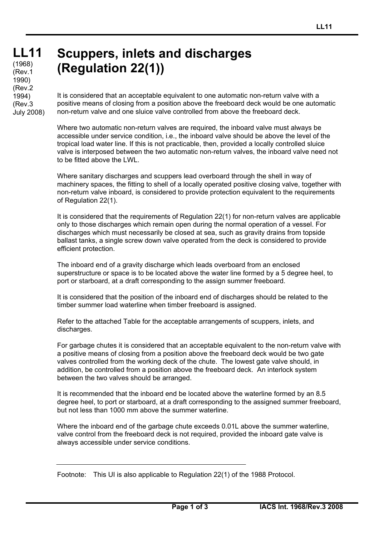## **LL11 LL11** رr yoo)<br>(Rev.1 (1968) 1990) (Rev.2 1994) (Rev.3 July 2008)

## **Scuppers, inlets and discharges (Regulation 22(1))**

It is considered that an acceptable equivalent to one automatic non-return valve with a positive means of closing from a position above the freeboard deck would be one automatic non-return valve and one sluice valve controlled from above the freeboard deck.

Where two automatic non-return valves are required, the inboard valve must always be accessible under service condition, i.e., the inboard valve should be above the level of the tropical load water line. If this is not practicable, then, provided a locally controlled sluice valve is interposed between the two automatic non-return valves, the inboard valve need not to be fitted above the LWL.

Where sanitary discharges and scuppers lead overboard through the shell in way of machinery spaces, the fitting to shell of a locally operated positive closing valve, together with non-return valve inboard, is considered to provide protection equivalent to the requirements of Regulation 22(1).

It is considered that the requirements of Regulation 22(1) for non-return valves are applicable only to those discharges which remain open during the normal operation of a vessel. For discharges which must necessarily be closed at sea, such as gravity drains from topside ballast tanks, a single screw down valve operated from the deck is considered to provide efficient protection.

The inboard end of a gravity discharge which leads overboard from an enclosed superstructure or space is to be located above the water line formed by a 5 degree heel, to port or starboard, at a draft corresponding to the assign summer freeboard.

It is considered that the position of the inboard end of discharges should be related to the timber summer load waterline when timber freeboard is assigned.

Refer to the attached Table for the acceptable arrangements of scuppers, inlets, and discharges.

For garbage chutes it is considered that an acceptable equivalent to the non-return valve with a positive means of closing from a position above the freeboard deck would be two gate valves controlled from the working deck of the chute. The lowest gate valve should, in addition, be controlled from a position above the freeboard deck. An interlock system between the two valves should be arranged.

It is recommended that the inboard end be located above the waterline formed by an 8.5 degree heel, to port or starboard, at a draft corresponding to the assigned summer freeboard, but not less than 1000 mm above the summer waterline.

Where the inboard end of the garbage chute exceeds 0.01L above the summer waterline, valve control from the freeboard deck is not required, provided the inboard gate valve is always accessible under service conditions.

Footnote: This UI is also applicable to Regulation 22(1) of the 1988 Protocol.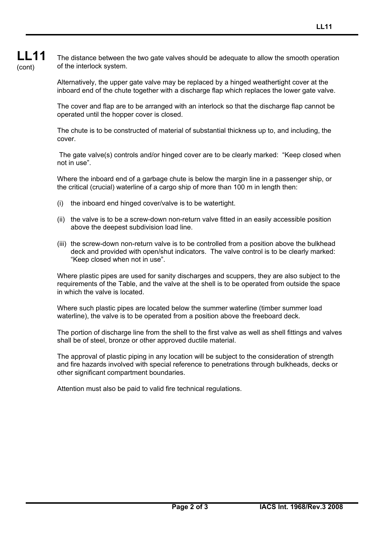The distance between the two gate valves should be adequate to allow the smooth operation of the interlock system.

Alternatively, the upper gate valve may be replaced by a hinged weathertight cover at the inboard end of the chute together with a discharge flap which replaces the lower gate valve.

The cover and flap are to be arranged with an interlock so that the discharge flap cannot be operated until the hopper cover is closed.

The chute is to be constructed of material of substantial thickness up to, and including, the cover.

 The gate valve(s) controls and/or hinged cover are to be clearly marked: "Keep closed when not in use".

Where the inboard end of a garbage chute is below the margin line in a passenger ship, or the critical (crucial) waterline of a cargo ship of more than 100 m in length then:

- (i) the inboard end hinged cover/valve is to be watertight.
- (ii) the valve is to be a screw-down non-return valve fitted in an easily accessible position above the deepest subdivision load line.
- (iii) the screw-down non-return valve is to be controlled from a position above the bulkhead deck and provided with open/shut indicators. The valve control is to be clearly marked: "Keep closed when not in use".

Where plastic pipes are used for sanity discharges and scuppers, they are also subject to the requirements of the Table, and the valve at the shell is to be operated from outside the space in which the valve is located.

Where such plastic pipes are located below the summer waterline (timber summer load waterline), the valve is to be operated from a position above the freeboard deck.

The portion of discharge line from the shell to the first valve as well as shell fittings and valves shall be of steel, bronze or other approved ductile material.

The approval of plastic piping in any location will be subject to the consideration of strength and fire hazards involved with special reference to penetrations through bulkheads, decks or other significant compartment boundaries.

Attention must also be paid to valid fire technical regulations.